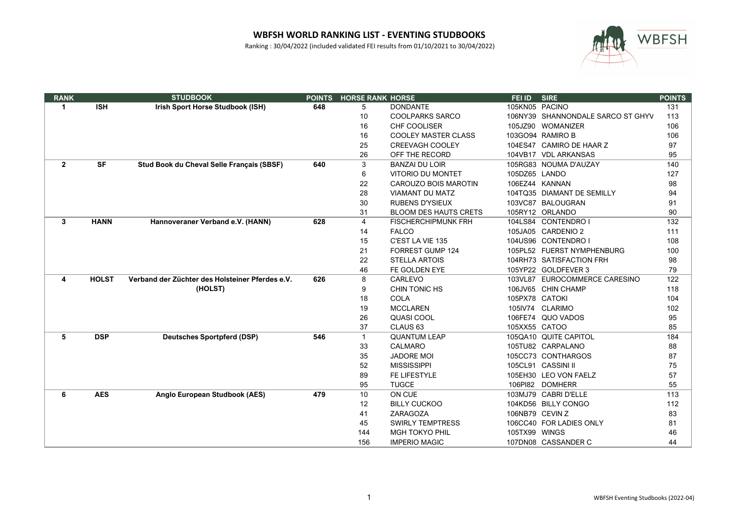

| <b>RANK</b>    |              | <b>STUDBOOK</b>                                 | <b>POINTS</b> | <b>HORSE RANK HORSE</b> |                              | FEI ID          | <b>SIRE</b>                       | <b>POINTS</b> |
|----------------|--------------|-------------------------------------------------|---------------|-------------------------|------------------------------|-----------------|-----------------------------------|---------------|
| $\mathbf{1}$   | <b>ISH</b>   | Irish Sport Horse Studbook (ISH)                | 648           | 5                       | <b>DONDANTE</b>              | 105KN05 PACINO  |                                   | 131           |
|                |              |                                                 |               | 10                      | <b>COOLPARKS SARCO</b>       |                 | 106NY39 SHANNONDALE SARCO ST GHYV | 113           |
|                |              |                                                 |               | 16                      | CHF COOLISER                 |                 | 105JZ90 WOMANIZER                 | 106           |
|                |              |                                                 |               | 16                      | <b>COOLEY MASTER CLASS</b>   |                 | 103GO94 RAMIRO B                  | 106           |
|                |              |                                                 |               | 25                      | <b>CREEVAGH COOLEY</b>       |                 | 104ES47 CAMIRO DE HAAR Z          | 97            |
|                |              |                                                 |               | 26                      | OFF THE RECORD               |                 | 104VB17 VDL ARKANSAS              | 95            |
| 2 <sup>1</sup> | <b>SF</b>    | Stud Book du Cheval Selle Français (SBSF)       | 640           | 3                       | <b>BANZAI DU LOIR</b>        |                 | 105RG83 NOUMA D'AUZAY             | 140           |
|                |              |                                                 |               | 6                       | <b>VITORIO DU MONTET</b>     | 105DZ65 LANDO   |                                   | 127           |
|                |              |                                                 |               | 22                      | <b>CAROUZO BOIS MAROTIN</b>  |                 | 106EZ44 KANNAN                    | 98            |
|                |              |                                                 |               | 28                      | <b>VIAMANT DU MATZ</b>       |                 | 104TQ35 DIAMANT DE SEMILLY        | 94            |
|                |              |                                                 |               | 30                      | <b>RUBENS D'YSIEUX</b>       |                 | 103VC87 BALOUGRAN                 | 91            |
|                |              |                                                 |               | 31                      | <b>BLOOM DES HAUTS CRETS</b> |                 | 105RY12 ORLANDO                   | 90            |
| 3              | <b>HANN</b>  | Hannoveraner Verband e.V. (HANN)                | 628           | 4                       | <b>FISCHERCHIPMUNK FRH</b>   |                 | 104LS84 CONTENDRO I               | 132           |
|                |              |                                                 |               | 14                      | <b>FALCO</b>                 |                 | 105JA05 CARDENIO 2                | 111           |
|                |              |                                                 |               | 15                      | C'EST LA VIE 135             |                 | 104US96 CONTENDRO I               | 108           |
|                |              |                                                 |               | 21                      | FORREST GUMP 124             |                 | 105PL52 FUERST NYMPHENBURG        | 100           |
|                |              |                                                 |               | 22                      | <b>STELLA ARTOIS</b>         |                 | 104RH73 SATISFACTION FRH          | 98            |
|                |              |                                                 |               | 46                      | FE GOLDEN EYE                |                 | 105YP22 GOLDFEVER 3               | 79            |
| 4              | <b>HOLST</b> | Verband der Züchter des Holsteiner Pferdes e.V. | 626           | 8                       | CARLEVO                      |                 | 103VL87 EUROCOMMERCE CARESINO     | 122           |
|                |              | (HOLST)                                         |               | 9                       | CHIN TONIC HS                |                 | 106JV65 CHIN CHAMP                | 118           |
|                |              |                                                 |               | 18                      | <b>COLA</b>                  | 105PX78 CATOKI  |                                   | 104           |
|                |              |                                                 |               | 19                      | <b>MCCLAREN</b>              |                 | 105IV74 CLARIMO                   | 102           |
|                |              |                                                 |               | 26                      | QUASI COOL                   |                 | 106FE74 QUO VADOS                 | 95            |
|                |              |                                                 |               | 37                      | CLAUS <sub>63</sub>          | 105XX55 CATOO   |                                   | 85            |
| 5              | <b>DSP</b>   | <b>Deutsches Sportpferd (DSP)</b>               | 546           | $\mathbf{1}$            | <b>QUANTUM LEAP</b>          |                 | 105QA10 QUITE CAPITOL             | 184           |
|                |              |                                                 |               | 33                      | <b>CALMARO</b>               |                 | 105TU82 CARPALANO                 | 88            |
|                |              |                                                 |               | 35                      | <b>JADORE MOI</b>            |                 | 105CC73 CONTHARGOS                | 87            |
|                |              |                                                 |               | 52                      | <b>MISSISSIPPI</b>           |                 | 105CL91 CASSINI II                | 75            |
|                |              |                                                 |               | 89                      | FE LIFESTYLE                 |                 | 105EH30 LEO VON FAELZ             | 57            |
|                |              |                                                 |               | 95                      | <b>TUGCE</b>                 |                 | 106PI82 DOMHERR                   | 55            |
| 6              | <b>AES</b>   | Anglo European Studbook (AES)                   | 479           | 10                      | ON CUE                       |                 | 103MJ79 CABRI D'ELLE              | 113           |
|                |              |                                                 |               | 12                      | <b>BILLY CUCKOO</b>          |                 | 104KD56 BILLY CONGO               | 112           |
|                |              |                                                 |               | 41                      | ZARAGOZA                     | 106NB79 CEVIN Z |                                   | 83            |
|                |              |                                                 |               | 45                      | <b>SWIRLY TEMPTRESS</b>      |                 | 106CC40 FOR LADIES ONLY           | 81            |
|                |              |                                                 |               | 144                     | <b>MGH TOKYO PHIL</b>        | 105TX99 WINGS   |                                   | 46            |
|                |              |                                                 |               | 156                     | <b>IMPERIO MAGIC</b>         |                 | 107DN08 CASSANDER C               | 44            |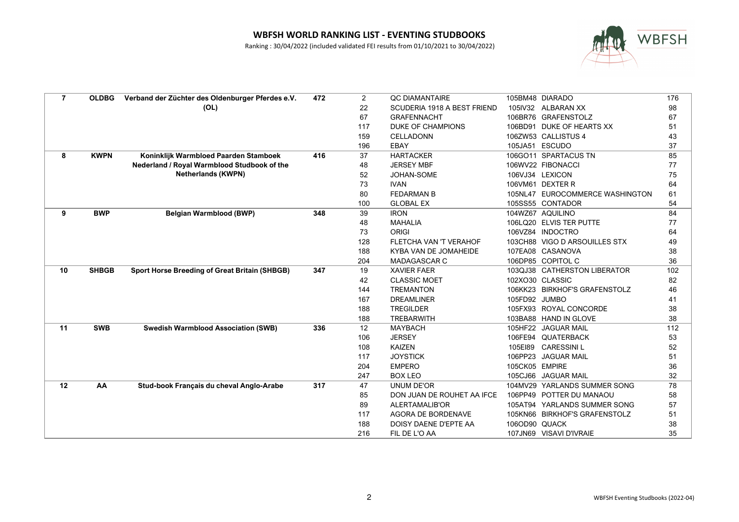

| $\overline{7}$ | <b>OLDBG</b> | Verband der Züchter des Oldenburger Pferdes e.V.     | 472 | $\overline{2}$    | <b>QC DIAMANTAIRE</b>       |                | 105BM48 DIARADO                 | 176 |
|----------------|--------------|------------------------------------------------------|-----|-------------------|-----------------------------|----------------|---------------------------------|-----|
|                |              | (OL)                                                 |     | 22                | SCUDERIA 1918 A BEST FRIEND |                | 105IV32 ALBARAN XX              | 98  |
|                |              |                                                      |     | 67                | <b>GRAFENNACHT</b>          |                | 106BR76 GRAFENSTOLZ             | 67  |
|                |              |                                                      |     | 117               | DUKE OF CHAMPIONS           |                | 106BD91 DUKE OF HEARTS XX       | 51  |
|                |              |                                                      |     | 159               | <b>CELLADONN</b>            |                | 106ZW53 CALLISTUS 4             | 43  |
|                |              |                                                      |     | 196               | EBAY                        | 105JA51        | <b>ESCUDO</b>                   | 37  |
| 8              | <b>KWPN</b>  | Koninklijk Warmbloed Paarden Stamboek                | 416 | 37                | <b>HARTACKER</b>            |                | 106GO11 SPARTACUS TN            | 85  |
|                |              | Nederland / Royal Warmblood Studbook of the          |     | 48                | <b>JERSEY MBF</b>           |                | 106WV22 FIBONACCI               | 77  |
|                |              | <b>Netherlands (KWPN)</b>                            |     | 52                | JOHAN-SOME                  |                | 106VJ34 LEXICON                 | 75  |
|                |              |                                                      |     | 73                | <b>IVAN</b>                 |                | 106VM61 DEXTER R                | 64  |
|                |              |                                                      |     | 80                | <b>FEDARMAN B</b>           |                | 105NL47 EUROCOMMERCE WASHINGTON | 61  |
|                |              |                                                      |     | 100               | <b>GLOBAL EX</b>            |                | 105SS55 CONTADOR                | 54  |
| 9              | <b>BWP</b>   | <b>Belgian Warmblood (BWP)</b>                       | 348 | 39                | <b>IRON</b>                 |                | 104WZ67 AQUILINO                | 84  |
|                |              |                                                      |     | 48                | <b>MAHALIA</b>              |                | 106LQ20 ELVIS TER PUTTE         | 77  |
|                |              |                                                      |     | 73                | <b>ORIGI</b>                |                | 106VZ84 INDOCTRO                | 64  |
|                |              |                                                      |     | 128               | FLETCHA VAN 'T VERAHOF      |                | 103CH88 VIGO D ARSOUILLES STX   | 49  |
|                |              |                                                      |     | 188               | KYBA VAN DE JOMAHEIDE       |                | 107EA08 CASANOVA                | 38  |
|                |              |                                                      |     | 204               | MADAGASCAR C                |                | 106DP85 COPITOL C               | 36  |
| 10             | <b>SHBGB</b> | <b>Sport Horse Breeding of Great Britain (SHBGB)</b> | 347 | 19                | <b>XAVIER FAER</b>          |                | 103QJ38 CATHERSTON LIBERATOR    | 102 |
|                |              |                                                      |     | 42                | <b>CLASSIC MOET</b>         |                | 102XO30 CLASSIC                 | 82  |
|                |              |                                                      |     | 144               | <b>TREMANTON</b>            |                | 106KK23 BIRKHOF'S GRAFENSTOLZ   | 46  |
|                |              |                                                      |     | 167               | <b>DREAMLINER</b>           | 105FD92 JUMBO  |                                 | 41  |
|                |              |                                                      |     | 188               | <b>TREGILDER</b>            |                | 105FX93 ROYAL CONCORDE          | 38  |
|                |              |                                                      |     | 188               | <b>TREBARWITH</b>           |                | 103BA88 HAND IN GLOVE           | 38  |
| 11             | <b>SWB</b>   | <b>Swedish Warmblood Association (SWB)</b>           | 336 | $12 \overline{ }$ | <b>MAYBACH</b>              | 105HF22        | <b>JAGUAR MAIL</b>              | 112 |
|                |              |                                                      |     | 106               | <b>JERSEY</b>               |                | 106FE94 QUATERBACK              | 53  |
|                |              |                                                      |     | 108               | <b>KAIZEN</b>               | 105E189        | <b>CARESSINIL</b>               | 52  |
|                |              |                                                      |     | 117               | <b>JOYSTICK</b>             |                | 106PP23 JAGUAR MAIL             | 51  |
|                |              |                                                      |     | 204               | <b>EMPERO</b>               | 105CK05 EMPIRE |                                 | 36  |
|                |              |                                                      |     | 247               | <b>BOX LEO</b>              |                | 105CJ66 JAGUAR MAIL             | 32  |
| 12             | AA           | Stud-book Français du cheval Anglo-Arabe             | 317 | 47                | <b>UNUM DE'OR</b>           |                | 104MV29 YARLANDS SUMMER SONG    | 78  |
|                |              |                                                      |     | 85                | DON JUAN DE ROUHET AA IFCE  |                | 106PP49 POTTER DU MANAOU        | 58  |
|                |              |                                                      |     | 89                | ALERTAMALIB'OR              |                | 105AT94 YARLANDS SUMMER SONG    | 57  |
|                |              |                                                      |     | 117               | AGORA DE BORDENAVE          |                | 105KN66 BIRKHOF'S GRAFENSTOLZ   | 51  |
|                |              |                                                      |     | 188               | DOISY DAENE D'EPTE AA       | 106OD90 QUACK  |                                 | 38  |
|                |              |                                                      |     | 216               | FIL DE L'O AA               |                | 107JN69 VISAVI D'IVRAIE         | 35  |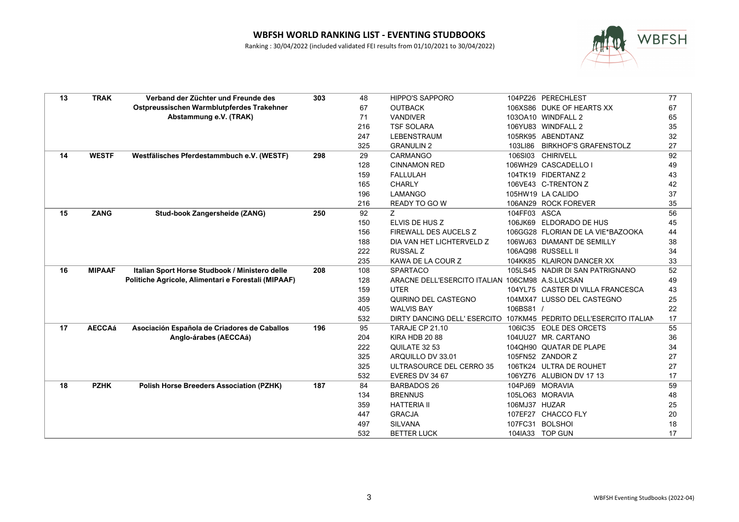

| 13 | <b>TRAK</b>   | Verband der Züchter und Freunde des                 | 303 | 48  | <b>HIPPO'S SAPPORO</b>                          |               | 104PZ26 PERECHLEST                    | 77 |
|----|---------------|-----------------------------------------------------|-----|-----|-------------------------------------------------|---------------|---------------------------------------|----|
|    |               | Ostpreussischen Warmblutpferdes Trakehner           |     | 67  | <b>OUTBACK</b>                                  |               | 106XS86 DUKE OF HEARTS XX             | 67 |
|    |               | Abstammung e.V. (TRAK)                              |     | 71  | <b>VANDIVER</b>                                 |               | 103OA10 WINDFALL 2                    | 65 |
|    |               |                                                     |     | 216 | <b>TSF SOLARA</b>                               |               | 106YU83 WINDFALL 2                    | 35 |
|    |               |                                                     |     | 247 | <b>LEBENSTRAUM</b>                              |               | 105RK95 ABENDTANZ                     | 32 |
|    |               |                                                     |     | 325 | <b>GRANULIN 2</b>                               | 103LI86       | <b>BIRKHOF'S GRAFENSTOLZ</b>          | 27 |
| 14 | <b>WESTF</b>  | Westfälisches Pferdestammbuch e.V. (WESTF)          | 298 | 29  | CARMANGO                                        |               | 106SI03 CHIRIVELL                     | 92 |
|    |               |                                                     |     | 128 | <b>CINNAMON RED</b>                             |               | 106WH29 CASCADELLO I                  | 49 |
|    |               |                                                     |     | 159 | <b>FALLULAH</b>                                 |               | 104TK19 FIDERTANZ 2                   | 43 |
|    |               |                                                     |     | 165 | <b>CHARLY</b>                                   |               | 106VE43 C-TRENTON Z                   | 42 |
|    |               |                                                     |     | 196 | <b>LAMANGO</b>                                  |               | 105HW19 LA CALIDO                     | 37 |
|    |               |                                                     |     | 216 | <b>READY TO GO W</b>                            |               | 106AN29 ROCK FOREVER                  | 35 |
| 15 | <b>ZANG</b>   | Stud-book Zangersheide (ZANG)                       | 250 | 92  | Z.                                              | 104FF03 ASCA  |                                       | 56 |
|    |               |                                                     |     | 150 | ELVIS DE HUS Z                                  |               | 106JK69 ELDORADO DE HUS               | 45 |
|    |               |                                                     |     | 156 | FIREWALL DES AUCELS Z                           |               | 106GG28 FLORIAN DE LA VIE*BAZOOKA     | 44 |
|    |               |                                                     |     | 188 | DIA VAN HET LICHTERVELD Z                       |               | 106WJ63 DIAMANT DE SEMILLY            | 38 |
|    |               |                                                     |     | 222 | <b>RUSSAL Z</b>                                 |               | 106AQ98 RUSSELL II                    | 34 |
|    |               |                                                     |     | 235 | KAWA DE LA COUR Z                               |               | 104KK85 KLAIRON DANCER XX             | 33 |
| 16 | <b>MIPAAF</b> | Italian Sport Horse Studbook / Ministero delle      | 208 | 108 | <b>SPARTACO</b>                                 |               | 105LS45 NADIR DI SAN PATRIGNANO       | 52 |
|    |               | Politiche Agricole, Alimentari e Forestali (MIPAAF) |     | 128 | ARACNE DELL'ESERCITO ITALIAN 106CM98 A.S.LUCSAN |               |                                       | 49 |
|    |               |                                                     |     | 159 | <b>UTER</b>                                     |               | 104YL75 CASTER DI VILLA FRANCESCA     | 43 |
|    |               |                                                     |     | 359 | QUIRINO DEL CASTEGNO                            |               | 104MX47 LUSSO DEL CASTEGNO            | 25 |
|    |               |                                                     |     | 405 | <b>WALVIS BAY</b>                               | 106BS81 /     |                                       | 22 |
|    |               |                                                     |     | 532 | DIRTY DANCING DELL' ESERCITO                    |               | 107KM45 PEDRITO DELL'ESERCITO ITALIAN | 17 |
| 17 | <b>AECCAá</b> | Asociación Española de Criadores de Caballos        | 196 | 95  | TARAJE CP 21.10                                 |               | 106IC35 EOLE DES ORCETS               | 55 |
|    |               | Anglo-árabes (AECCAá)                               |     | 204 | KIRA HDB 2088                                   |               | 104UU27 MR. CARTANO                   | 36 |
|    |               |                                                     |     | 222 | QUILATE 32 53                                   |               | 104QH90 QUATAR DE PLAPE               | 34 |
|    |               |                                                     |     | 325 | ARQUILLO DV 33.01                               |               | 105FN52 ZANDOR Z                      | 27 |
|    |               |                                                     |     | 325 | ULTRASOURCE DEL CERRO 35                        |               | 106TK24 ULTRA DE ROUHET               | 27 |
|    |               |                                                     |     | 532 | EVERES DV 34 67                                 |               | 106YZ76 ALUBION DV 17 13              | 17 |
| 18 | <b>PZHK</b>   | <b>Polish Horse Breeders Association (PZHK)</b>     | 187 | 84  | <b>BARBADOS 26</b>                              |               | 104PJ69 MORAVIA                       | 59 |
|    |               |                                                     |     | 134 | <b>BRENNUS</b>                                  |               | 105LO63 MORAVIA                       | 48 |
|    |               |                                                     |     | 359 | <b>HATTERIA II</b>                              | 106MJ37 HUZAR |                                       | 25 |
|    |               |                                                     |     | 447 | <b>GRACJA</b>                                   |               | 107EF27 CHACCO FLY                    | 20 |
|    |               |                                                     |     | 497 | <b>SILVANA</b>                                  |               | 107FC31 BOLSHOI                       | 18 |
|    |               |                                                     |     | 532 | <b>BETTER LUCK</b>                              |               | 104IA33 TOP GUN                       | 17 |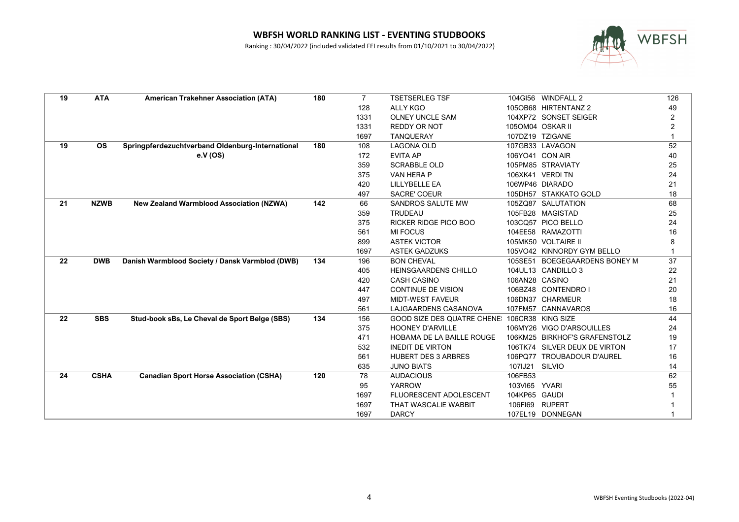

| 19 | <b>ATA</b>  | <b>American Trakehner Association (ATA)</b>      | 180 | $\overline{7}$ | <b>TSETSERLEG TSF</b>              |                  | 104GI56 WINDFALL 2            | 126 |
|----|-------------|--------------------------------------------------|-----|----------------|------------------------------------|------------------|-------------------------------|-----|
|    |             |                                                  |     | 128            | <b>ALLY KGO</b>                    |                  | 105OB68 HIRTENTANZ 2          | 49  |
|    |             |                                                  |     | 1331           | <b>OLNEY UNCLE SAM</b>             |                  | 104XP72 SONSET SEIGER         |     |
|    |             |                                                  |     | 1331           | <b>REDDY OR NOT</b>                | 1050M04 OSKAR II |                               |     |
|    |             |                                                  |     | 1697           | <b>TANQUERAY</b>                   |                  | 107DZ19 TZIGANE               |     |
| 19 | <b>OS</b>   | Springpferdezuchtverband Oldenburg-International | 180 | 108            | <b>LAGONA OLD</b>                  |                  | 107GB33 LAVAGON               | 52  |
|    |             | e.V (OS)                                         |     | 172            | <b>EVITA AP</b>                    | 106YO41 CON AIR  |                               | 40  |
|    |             |                                                  |     | 359            | <b>SCRABBLE OLD</b>                |                  | 105PM85 STRAVIATY             | 25  |
|    |             |                                                  |     | 375            | VAN HERA P                         |                  | 106XK41 VERDITN               | 24  |
|    |             |                                                  |     | 420            | <b>LILLYBELLE EA</b>               |                  | 106WP46 DIARADO               | 21  |
|    |             |                                                  |     | 497            | <b>SACRE' COEUR</b>                |                  | 105DH57 STAKKATO GOLD         | 18  |
| 21 | <b>NZWB</b> | <b>New Zealand Warmblood Association (NZWA)</b>  | 142 | 66             | SANDROS SALUTE MW                  |                  | 105ZQ87 SALUTATION            | 68  |
|    |             |                                                  |     | 359            | <b>TRUDEAU</b>                     |                  | 105FB28 MAGISTAD              | 25  |
|    |             |                                                  |     | 375            | RICKER RIDGE PICO BOO              |                  | 103CQ57 PICO BELLO            | 24  |
|    |             |                                                  |     | 561            | <b>MI FOCUS</b>                    |                  | 104EE58 RAMAZOTTI             | 16  |
|    |             |                                                  |     | 899            | <b>ASTEK VICTOR</b>                |                  | 105MK50 VOLTAIRE II           |     |
|    |             |                                                  |     | 1697           | <b>ASTEK GADZUKS</b>               |                  | 105VO42 KINNORDY GYM BELLO    |     |
| 22 | <b>DWB</b>  | Danish Warmblood Society / Dansk Varmblod (DWB)  | 134 | 196            | <b>BON CHEVAL</b>                  |                  | 105SE51 BOEGEGAARDENS BONEY M | 37  |
|    |             |                                                  |     | 405            | <b>HEINSGAARDENS CHILLO</b>        |                  | 104UL13 CANDILLO 3            | 22  |
|    |             |                                                  |     | 420            | <b>CASH CASINO</b>                 | 106AN28 CASINO   |                               | 21  |
|    |             |                                                  |     | 447            | <b>CONTINUE DE VISION</b>          |                  | 106BZ48 CONTENDRO I           | 20  |
|    |             |                                                  |     | 497            | <b>MIDT-WEST FAVEUR</b>            |                  | 106DN37 CHARMEUR              | 18  |
|    |             |                                                  |     | 561            | LAJGAARDENS CASANOVA               |                  | 107FM57 CANNAVAROS            | 16  |
| 22 | <b>SBS</b>  | Stud-book sBs, Le Cheval de Sport Belge (SBS)    | 134 | 156            | <b>GOOD SIZE DES QUATRE CHENE:</b> |                  | 106CR38 KING SIZE             | 44  |
|    |             |                                                  |     | 375            | <b>HOONEY D'ARVILLE</b>            |                  | 106MY26 VIGO D'ARSOUILLES     | 24  |
|    |             |                                                  |     | 471            | HOBAMA DE LA BAILLE ROUGE          |                  | 106KM25 BIRKHOF'S GRAFENSTOLZ | 19  |
|    |             |                                                  |     | 532            | <b>INEDIT DE VIRTON</b>            |                  | 106TK74 SILVER DEUX DE VIRTON | 17  |
|    |             |                                                  |     | 561            | <b>HUBERT DES 3 ARBRES</b>         |                  | 106PQ77 TROUBADOUR D'AUREL    | 16  |
|    |             |                                                  |     | 635            | <b>JUNO BIATS</b>                  | 107IJ21          | SILVIO                        | 14  |
| 24 | <b>CSHA</b> | <b>Canadian Sport Horse Association (CSHA)</b>   | 120 | 78             | <b>AUDACIOUS</b>                   | 106FB53          |                               | 62  |
|    |             |                                                  |     | 95             | <b>YARROW</b>                      | 103VI65          | <b>YVARI</b>                  | 55  |
|    |             |                                                  |     | 1697           | FLUORESCENT ADOLESCENT             | 104KP65 GAUDI    |                               |     |
|    |             |                                                  |     | 1697           | THAT WASCALIE WABBIT               | 106FI69          | <b>RUPERT</b>                 |     |
|    |             |                                                  |     | 1697           | <b>DARCY</b>                       |                  | 107EL19 DONNEGAN              |     |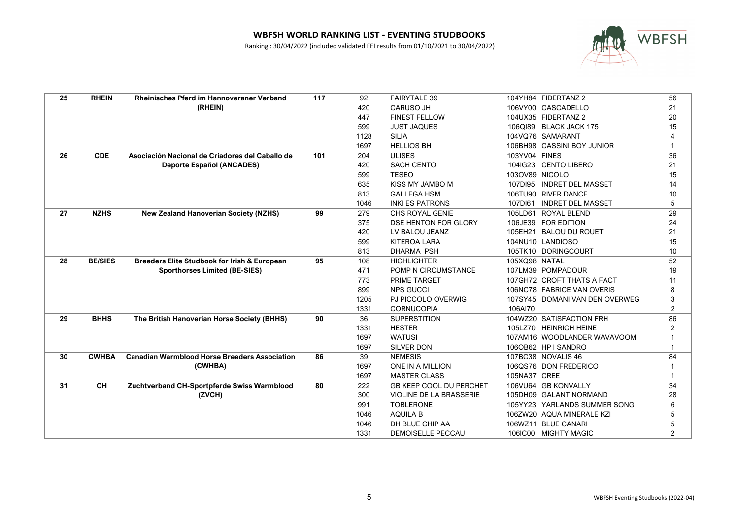

| 25 | <b>RHEIN</b>   | <b>Rheinisches Pferd im Hannoveraner Verband</b>     | 117 | 92   | <b>FAIRYTALE 39</b>            |                | 104YH84 FIDERTANZ 2            | 56             |
|----|----------------|------------------------------------------------------|-----|------|--------------------------------|----------------|--------------------------------|----------------|
|    |                | (RHEIN)                                              |     | 420  | <b>CARUSO JH</b>               |                | 106VY00 CASCADELLO             | 21             |
|    |                |                                                      |     | 447  | <b>FINEST FELLOW</b>           |                | 104UX35 FIDERTANZ 2            | 20             |
|    |                |                                                      |     | 599  | <b>JUST JAQUES</b>             |                | 106QI89 BLACK JACK 175         | 15             |
|    |                |                                                      |     | 1128 | <b>SILIA</b>                   |                | 104VQ76 SAMARANT               |                |
|    |                |                                                      |     | 1697 | <b>HELLIOS BH</b>              |                | 106BH98 CASSINI BOY JUNIOR     |                |
| 26 | <b>CDE</b>     | Asociación Nacional de Criadores del Caballo de      | 101 | 204  | <b>ULISES</b>                  | 103YV04 FINES  |                                | 36             |
|    |                | <b>Deporte Español (ANCADES)</b>                     |     | 420  | <b>SACH CENTO</b>              |                | 104IG23 CENTO LIBERO           | 21             |
|    |                |                                                      |     | 599  | <b>TESEO</b>                   | 103OV89 NICOLO |                                | 15             |
|    |                |                                                      |     | 635  | KISS MY JAMBO M                |                | 107DI95 INDRET DEL MASSET      | 14             |
|    |                |                                                      |     | 813  | <b>GALLEGA HSM</b>             |                | 106TU90 RIVER DANCE            | 10             |
|    |                |                                                      |     | 1046 | <b>INKI ES PATRONS</b>         | 107DI61        | <b>INDRET DEL MASSET</b>       | 5              |
| 27 | <b>NZHS</b>    | <b>New Zealand Hanoverian Society (NZHS)</b>         | 99  | 279  | CHS ROYAL GENIE                |                | 105LD61 ROYAL BLEND            | 29             |
|    |                |                                                      |     | 375  | DSE HENTON FOR GLORY           |                | 106JE39 FOR EDITION            | 24             |
|    |                |                                                      |     | 420  | LV BALOU JEANZ                 |                | 105EH21 BALOU DU ROUET         | 21             |
|    |                |                                                      |     | 599  | <b>KITEROA LARA</b>            |                | 104NU10 LANDIOSO               | 15             |
|    |                |                                                      |     | 813  | <b>DHARMA PSH</b>              |                | 105TK10 DORINGCOURT            | 10             |
| 28 | <b>BE/SIES</b> | Breeders Elite Studbook for Irish & European         | 95  | 108  | <b>HIGHLIGHTER</b>             | 105XQ98 NATAL  |                                | 52             |
|    |                | <b>Sporthorses Limited (BE-SIES)</b>                 |     | 471  | POMP N CIRCUMSTANCE            |                | 107LM39 POMPADOUR              | 19             |
|    |                |                                                      |     | 773  | <b>PRIME TARGET</b>            |                | 107GH72 CROFT THATS A FACT     | 11             |
|    |                |                                                      |     | 899  | <b>NPS GUCCI</b>               |                | 106NC78 FABRICE VAN OVERIS     | 8              |
|    |                |                                                      |     | 1205 | PJ PICCOLO OVERWIG             |                | 107SY45 DOMANI VAN DEN OVERWEG | 3              |
|    |                |                                                      |     | 1331 | <b>CORNUCOPIA</b>              | 106AI70        |                                | $\overline{2}$ |
| 29 | <b>BHHS</b>    | The British Hanoverian Horse Society (BHHS)          | 90  | 36   | <b>SUPERSTITION</b>            |                | 104WZ20 SATISFACTION FRH       | 86             |
|    |                |                                                      |     | 1331 | <b>HESTER</b>                  |                | 105LZ70 HEINRICH HEINE         |                |
|    |                |                                                      |     | 1697 | <b>WATUSI</b>                  |                | 107AM16 WOODLANDER WAVAVOOM    |                |
|    |                |                                                      |     | 1697 | <b>SILVER DON</b>              |                | 106OB62 HP I SANDRO            |                |
| 30 | <b>CWHBA</b>   | <b>Canadian Warmblood Horse Breeders Association</b> | 86  | 39   | <b>NEMESIS</b>                 |                | 107BC38 NOVALIS 46             | 84             |
|    |                | (CWHBA)                                              |     | 1697 | ONE IN A MILLION               |                | 106QS76 DON FREDERICO          |                |
|    |                |                                                      |     | 1697 | <b>MASTER CLASS</b>            | 105NA37 CREE   |                                |                |
| 31 | <b>CH</b>      | Zuchtverband CH-Sportpferde Swiss Warmblood          | 80  | 222  | <b>GB KEEP COOL DU PERCHET</b> |                | 106VU64 GB KONVALLY            | 34             |
|    |                | (ZVCH)                                               |     | 300  | <b>VIOLINE DE LA BRASSERIE</b> |                | 105DH09 GALANT NORMAND         | 28             |
|    |                |                                                      |     | 991  | <b>TOBLERONE</b>               |                | 105YY23 YARLANDS SUMMER SONG   | 6              |
|    |                |                                                      |     | 1046 | <b>AQUILA B</b>                |                | 106ZW20 AQUA MINERALE KZI      | 5              |
|    |                |                                                      |     | 1046 | DH BLUE CHIP AA                |                | 106WZ11 BLUE CANARI            |                |
|    |                |                                                      |     | 1331 | <b>DEMOISELLE PECCAU</b>       |                | 106IC00 MIGHTY MAGIC           | 2              |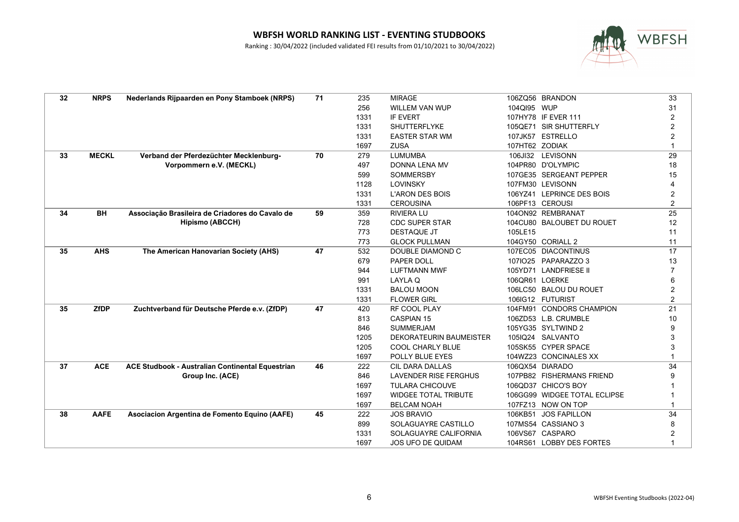

| 32 | <b>NRPS</b>  | Nederlands Rijpaarden en Pony Stamboek (NRPS)    | 71 | 235  | <b>MIRAGE</b>                  |                | 106ZQ56 BRANDON              | 33             |
|----|--------------|--------------------------------------------------|----|------|--------------------------------|----------------|------------------------------|----------------|
|    |              |                                                  |    | 256  | WILLEM VAN WUP                 | 104QI95 WUP    |                              | 31             |
|    |              |                                                  |    | 1331 | <b>IF EVERT</b>                |                | 107HY78 IF EVER 111          | 2              |
|    |              |                                                  |    | 1331 | SHUTTERFLYKE                   |                | 105QE71 SIR SHUTTERFLY       | 2              |
|    |              |                                                  |    | 1331 | <b>EASTER STAR WM</b>          |                | 107JK57 ESTRELLO             | 2              |
|    |              |                                                  |    | 1697 | <b>ZUSA</b>                    | 107HT62 ZODIAK |                              |                |
| 33 | <b>MECKL</b> | Verband der Pferdezüchter Mecklenburg-           | 70 | 279  | <b>LUMUMBA</b>                 |                | 106JI32 LEVISONN             | 29             |
|    |              | Vorpommern e.V. (MECKL)                          |    | 497  | <b>DONNA LENA MV</b>           |                | 104PR80 D'OLYMPIC            | 18             |
|    |              |                                                  |    | 599  | <b>SOMMERSBY</b>               |                | 107GE35 SERGEANT PEPPER      | 15             |
|    |              |                                                  |    | 1128 | <b>LOVINSKY</b>                |                | 107FM30 LEVISONN             |                |
|    |              |                                                  |    | 1331 | <b>L'ARON DES BOIS</b>         |                | 106YZ41 LEPRINCE DES BOIS    | 2              |
|    |              |                                                  |    | 1331 | <b>CEROUSINA</b>               |                | 106PF13 CEROUSI              | $\overline{2}$ |
| 34 | BH           | Associação Brasileira de Criadores do Cavalo de  | 59 | 359  | <b>RIVIERA LU</b>              |                | 104ON92 REMBRANAT            | 25             |
|    |              | <b>Hipismo (ABCCH)</b>                           |    | 728  | <b>CDC SUPER STAR</b>          |                | 104CU80 BALOUBET DU ROUET    | 12             |
|    |              |                                                  |    | 773  | <b>DESTAQUE JT</b>             | 105LE15        |                              | 11             |
|    |              |                                                  |    | 773  | <b>GLOCK PULLMAN</b>           |                | 104GY50 CORIALL 2            | 11             |
| 35 | <b>AHS</b>   | The American Hanovarian Society (AHS)            | 47 | 532  | DOUBLE DIAMOND C               |                | 107EC05 DIACONTINUS          | 17             |
|    |              |                                                  |    | 679  | PAPER DOLL                     |                | 107IO25 PAPARAZZO 3          | 13             |
|    |              |                                                  |    | 944  | <b>LUFTMANN MWF</b>            |                | 105YD71 LANDFRIESE II        |                |
|    |              |                                                  |    | 991  | LAYLA Q                        | 106QR61 LOERKE |                              | 6              |
|    |              |                                                  |    | 1331 | <b>BALOU MOON</b>              |                | 106LC50 BALOU DU ROUET       | $\overline{2}$ |
|    |              |                                                  |    | 1331 | <b>FLOWER GIRL</b>             |                | 106IG12 FUTURIST             | $\overline{2}$ |
| 35 | <b>ZfDP</b>  | Zuchtverband für Deutsche Pferde e.v. (ZfDP)     | 47 | 420  | RF COOL PLAY                   |                | 104FM91 CONDORS CHAMPION     | 21             |
|    |              |                                                  |    | 813  | <b>CASPIAN 15</b>              |                | 106ZD53 L.B. CRUMBLE         | 10             |
|    |              |                                                  |    | 846  | <b>SUMMERJAM</b>               |                | 105YG35 SYLTWIND 2           | g              |
|    |              |                                                  |    | 1205 | <b>DEKORATEURIN BAUMEISTER</b> |                | 105IQ24 SALVANTO             | 3              |
|    |              |                                                  |    | 1205 | <b>COOL CHARLY BLUE</b>        |                | 105SK55 CYPER SPACE          | 3              |
|    |              |                                                  |    | 1697 | POLLY BLUE EYES                |                | 104WZ23 CONCINALES XX        |                |
| 37 | <b>ACE</b>   | ACE Studbook - Australian Continental Equestrian | 46 | 222  | <b>CIL DARA DALLAS</b>         |                | 106QX54 DIARADO              | 34             |
|    |              | Group Inc. (ACE)                                 |    | 846  | <b>LAVENDER RISE FERGHUS</b>   |                | 107PB82 FISHERMANS FRIEND    | 9              |
|    |              |                                                  |    | 1697 | <b>TULARA CHICOUVE</b>         |                | 106QD37 CHICO'S BOY          |                |
|    |              |                                                  |    | 1697 | <b>WIDGEE TOTAL TRIBUTE</b>    |                | 106GG99 WIDGEE TOTAL ECLIPSE |                |
|    |              |                                                  |    | 1697 | <b>BELCAM NOAH</b>             |                | 107FZ13 NOW ON TOP           |                |
| 38 | <b>AAFE</b>  | Asociacion Argentina de Fomento Equino (AAFE)    | 45 | 222  | <b>JOS BRAVIO</b>              |                | 106KB51 JOS FAPILLON         | 34             |
|    |              |                                                  |    | 899  | SOLAGUAYRE CASTILLO            |                | 107MS54 CASSIANO 3           |                |
|    |              |                                                  |    | 1331 | SOLAGUAYRE CALIFORNIA          |                | 106VS67 CASPARO              |                |
|    |              |                                                  |    | 1697 | <b>JOS UFO DE QUIDAM</b>       |                | 104RS61 LOBBY DES FORTES     |                |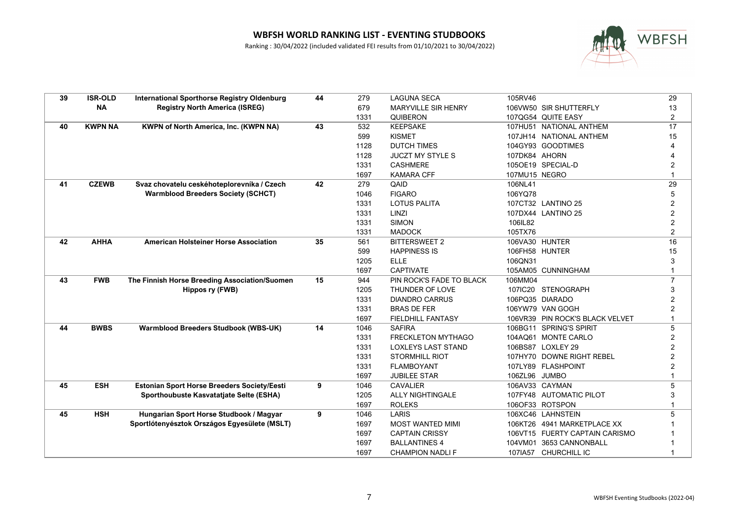

| 39 | <b>ISR-OLD</b> | <b>International Sporthorse Registry Oldenburg</b> | 44 | 279  | <b>LAGUNA SECA</b>         | 105RV46       |                                 | 29                      |
|----|----------------|----------------------------------------------------|----|------|----------------------------|---------------|---------------------------------|-------------------------|
|    | <b>NA</b>      | <b>Registry North America (ISREG)</b>              |    | 679  | <b>MARYVILLE SIR HENRY</b> |               | 106VW50 SIR SHUTTERFLY          | 13                      |
|    |                |                                                    |    | 1331 | QUIBERON                   |               | 107QG54 QUITE EASY              | 2                       |
| 40 | <b>KWPN NA</b> | <b>KWPN of North America, Inc. (KWPN NA)</b>       | 43 | 532  | <b>KEEPSAKE</b>            |               | 107HU51 NATIONAL ANTHEM         | 17                      |
|    |                |                                                    |    | 599  | <b>KISMET</b>              |               | 107JH14 NATIONAL ANTHEM         | 15                      |
|    |                |                                                    |    | 1128 | <b>DUTCH TIMES</b>         |               | 104GY93 GOODTIMES               |                         |
|    |                |                                                    |    | 1128 | <b>JUCZT MY STYLE S</b>    | 107DK84 AHORN |                                 |                         |
|    |                |                                                    |    | 1331 | <b>CASHMERE</b>            |               | 105OE19 SPECIAL-D               |                         |
|    |                |                                                    |    | 1697 | <b>KAMARA CFF</b>          | 107MU15 NEGRO |                                 |                         |
| 41 | <b>CZEWB</b>   | Svaz chovatelu ceskéhoteplorevníka / Czech         | 42 | 279  | QAID                       | 106NL41       |                                 | $\overline{29}$         |
|    |                | <b>Warmblood Breeders Society (SCHCT)</b>          |    | 1046 | <b>FIGARO</b>              | 106YQ78       |                                 |                         |
|    |                |                                                    |    | 1331 | <b>LOTUS PALITA</b>        |               | 107CT32 LANTINO 25              | $\overline{2}$          |
|    |                |                                                    |    | 1331 | LINZI                      |               | 107DX44 LANTINO 25              | $\overline{2}$          |
|    |                |                                                    |    | 1331 | <b>SIMON</b>               | 106IL82       |                                 | 2                       |
|    |                |                                                    |    | 1331 | <b>MADOCK</b>              | 105TX76       |                                 | $\overline{\mathbf{c}}$ |
| 42 | <b>AHHA</b>    | <b>American Holsteiner Horse Association</b>       | 35 | 561  | <b>BITTERSWEET 2</b>       |               | 106VA30 HUNTER                  | 16                      |
|    |                |                                                    |    | 599  | <b>HAPPINESS IS</b>        |               | 106FH58 HUNTER                  | 15                      |
|    |                |                                                    |    | 1205 | <b>ELLE</b>                | 106QN31       |                                 | 3                       |
|    |                |                                                    |    | 1697 | <b>CAPTIVATE</b>           |               | 105AM05 CUNNINGHAM              |                         |
| 43 | <b>FWB</b>     | The Finnish Horse Breeding Association/Suomen      | 15 | 944  | PIN ROCK'S FADE TO BLACK   | 106MM04       |                                 |                         |
|    |                | Hippos ry (FWB)                                    |    | 1205 | THUNDER OF LOVE            |               | 107IC20 STENOGRAPH              | 3                       |
|    |                |                                                    |    | 1331 | <b>DIANDRO CARRUS</b>      |               | 106PQ35 DIARADO                 | 2                       |
|    |                |                                                    |    | 1331 | <b>BRAS DE FER</b>         |               | 106YW79 VAN GOGH                |                         |
|    |                |                                                    |    | 1697 | <b>FIELDHILL FANTASY</b>   |               | 106VR39 PIN ROCK'S BLACK VELVET |                         |
| 44 | <b>BWBS</b>    | <b>Warmblood Breeders Studbook (WBS-UK)</b>        | 14 | 1046 | <b>SAFIRA</b>              |               | 106BG11 SPRING'S SPIRIT         | 5                       |
|    |                |                                                    |    | 1331 | FRECKLETON MYTHAGO         |               | 104AQ61 MONTE CARLO             | 2                       |
|    |                |                                                    |    | 1331 | <b>LOXLEYS LAST STAND</b>  |               | 106BS87 LOXLEY 29               |                         |
|    |                |                                                    |    | 1331 | <b>STORMHILL RIOT</b>      |               | 107HY70 DOWNE RIGHT REBEL       | 2                       |
|    |                |                                                    |    | 1331 | <b>FLAMBOYANT</b>          |               | 107LY89 FLASHPOINT              | 2                       |
|    |                |                                                    |    | 1697 | <b>JUBILEE STAR</b>        | 106ZL96 JUMBO |                                 |                         |
| 45 | <b>ESH</b>     | Estonian Sport Horse Breeders Society/Eesti        | 9  | 1046 | <b>CAVALIER</b>            |               | 106AV33 CAYMAN                  | 5                       |
|    |                | Sporthoubuste Kasvatatjate Selte (ESHA)            |    | 1205 | <b>ALLY NIGHTINGALE</b>    |               | 107FY48 AUTOMATIC PILOT         | 3                       |
|    |                |                                                    |    | 1697 | <b>ROLEKS</b>              |               | 106OF33 ROTSPON                 |                         |
| 45 | <b>HSH</b>     | Hungarian Sport Horse Studbook / Magyar            | 9  | 1046 | LARIS                      |               | 106XC46 LAHNSTEIN               |                         |
|    |                | Sportlótenyésztok Országos Egyesülete (MSLT)       |    | 1697 | <b>MOST WANTED MIMI</b>    |               | 106KT26 4941 MARKETPLACE XX     |                         |
|    |                |                                                    |    | 1697 | <b>CAPTAIN CRISSY</b>      |               | 106VT15 FUERTY CAPTAIN CARISMO  |                         |
|    |                |                                                    |    | 1697 | <b>BALLANTINES 4</b>       |               | 104VM01 3653 CANNONBALL         |                         |
|    |                |                                                    |    | 1697 | <b>CHAMPION NADLIF</b>     |               | 107IA57 CHURCHILL IC            |                         |